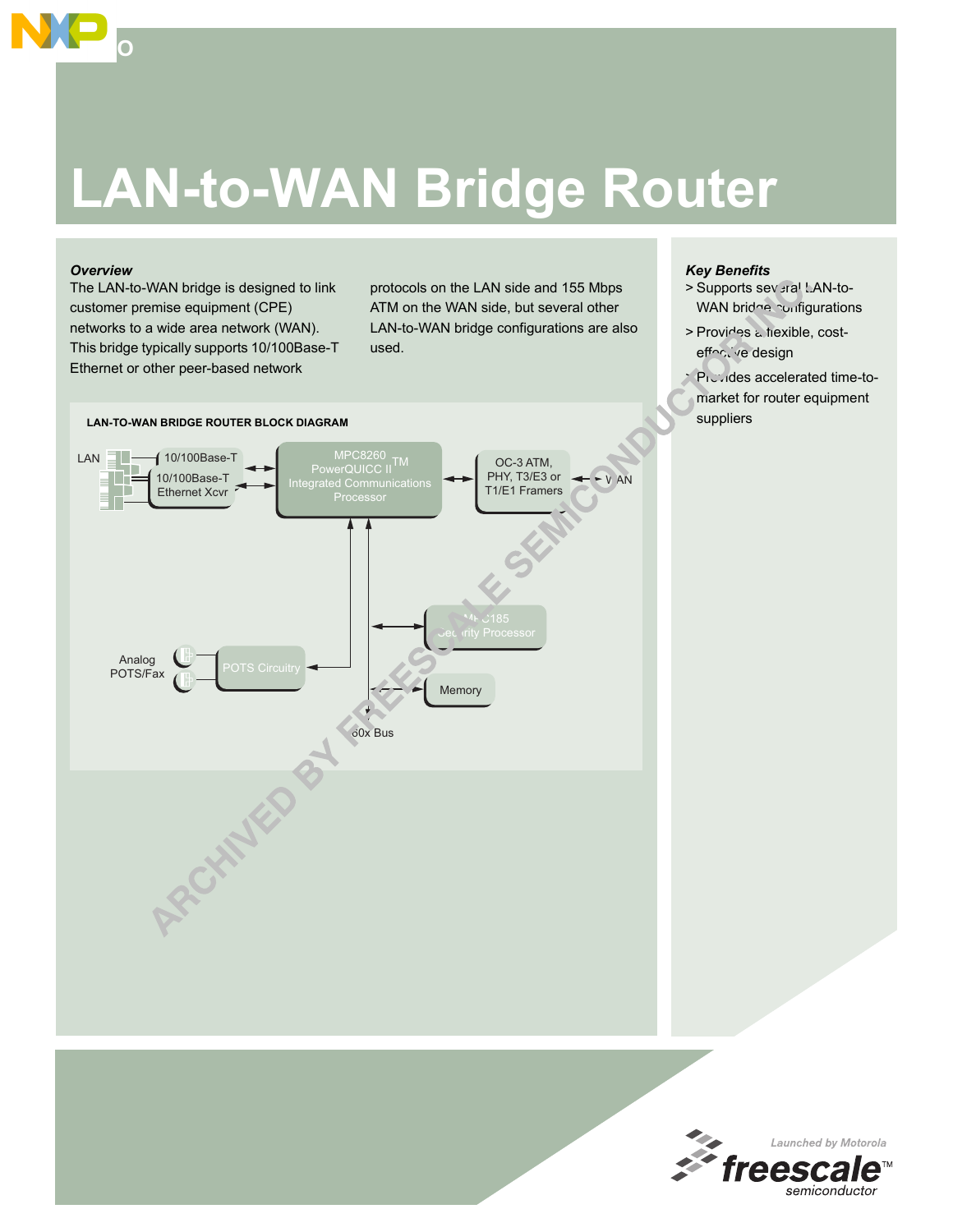# **LAN-to-WAN Bridge Router**

## *Overview*

 $\overline{\mathbf{S}}$ 

The LAN-to-WAN bridge is designed to link customer premise equipment (CPE) networks to a wide area network (WAN). This bridge typically supports 10/100Base-T Ethernet or other peer-based network

protocols on the LAN side and 155 Mbps ATM on the WAN side, but several other LAN-to-WAN bridge configurations are also used.

# *Key Benefits*

- > Supports several LAN-to-WAN bridge configurations
- > Provides a flexible, costeffoctive design

> Provides accelerated time-tomarket for router equipment suppliers



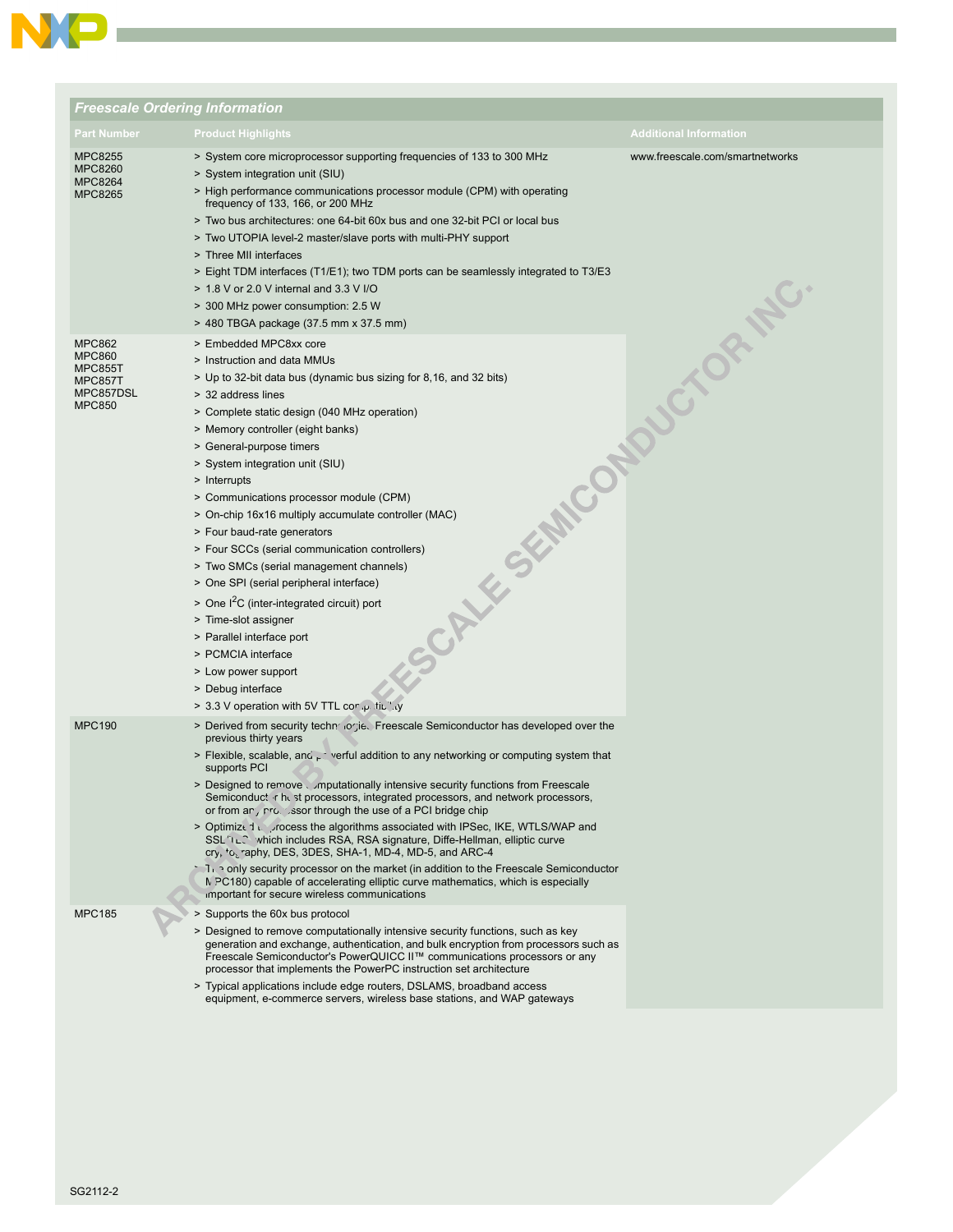

|                                                                                           | <b>Freescale Ordering Information</b>                                                                                                                                                                                                                                                                                                                                                                                                                                                                                                                                                                                                                                                                                                                                                                                                                                                                                                                                                                                                                                     |                                 |
|-------------------------------------------------------------------------------------------|---------------------------------------------------------------------------------------------------------------------------------------------------------------------------------------------------------------------------------------------------------------------------------------------------------------------------------------------------------------------------------------------------------------------------------------------------------------------------------------------------------------------------------------------------------------------------------------------------------------------------------------------------------------------------------------------------------------------------------------------------------------------------------------------------------------------------------------------------------------------------------------------------------------------------------------------------------------------------------------------------------------------------------------------------------------------------|---------------------------------|
| Part Number                                                                               | <b>Product Highlights</b>                                                                                                                                                                                                                                                                                                                                                                                                                                                                                                                                                                                                                                                                                                                                                                                                                                                                                                                                                                                                                                                 | <b>Additional Information</b>   |
| MPC8255<br><b>MPC8260</b><br><b>MPC8264</b><br>MPC8265                                    | > System core microprocessor supporting frequencies of 133 to 300 MHz<br>> System integration unit (SIU)<br>> High performance communications processor module (CPM) with operating<br>frequency of 133, 166, or 200 MHz<br>> Two bus architectures: one 64-bit 60x bus and one 32-bit PCI or local bus<br>> Two UTOPIA level-2 master/slave ports with multi-PHY support<br>> Three MII interfaces<br>> Eight TDM interfaces (T1/E1); two TDM ports can be seamlessly integrated to T3/E3<br>> 1.8 V or 2.0 V internal and 3.3 V I/O<br>> 300 MHz power consumption: 2.5 W<br>> 480 TBGA package (37.5 mm x 37.5 mm)                                                                                                                                                                                                                                                                                                                                                                                                                                                     | www.freescale.com/smartnetworks |
| <b>MPC862</b><br><b>MPC860</b><br><b>MPC855T</b><br>MPC857T<br>MPC857DSL<br><b>MPC850</b> | > Embedded MPC8xx core<br>> Instruction and data MMUs<br>> Up to 32-bit data bus (dynamic bus sizing for 8,16, and 32 bits)<br>> 32 address lines<br>> Complete static design (040 MHz operation)<br>> Memory controller (eight banks)<br>> General-purpose timers<br>> System integration unit (SIU)<br>> Interrupts<br>> Communications processor module (CPM)<br>> On-chip 16x16 multiply accumulate controller (MAC)<br>> Four baud-rate generators<br>> Four SCCs (serial communication controllers)<br>> Two SMCs (serial management channels)<br>> One SPI (serial peripheral interface)<br>$>$ One I <sup>2</sup> C (inter-integrated circuit) port<br>> Time-slot assigner<br>> Parallel interface port<br>> PCMCIA interface<br>> Low power support<br>> Debug interface<br>> 3.3 V operation with 5V TTL cor .p. fit.".y                                                                                                                                                                                                                                       |                                 |
| <b>MPC190</b><br><b>MPC185</b>                                                            | > Derived from security techn logie. Freescale Semiconductor has developed over the<br>previous thirty years<br>> Flexible, scalable, and $\mu$ : verful addition to any networking or computing system that<br>supports PCI<br>> Designed to remove Umputationally intensive security functions from Freescale<br>Semiconduct r hest processors, integrated processors, and network processors,<br>or from an, rro. ssor through the use of a PCI bridge chip<br>> Optimize 1 N, process the algorithms associated with IPSec, IKE, WTLS/WAP and<br>SSL <sup>'</sup> LC which includes RSA, RSA signature, Diffe-Hellman, elliptic curve<br>cry, $\cdot$ o, raphy, DES, 3DES, SHA-1, MD-4, MD-5, and ARC-4<br>T <sub>1.</sub> only security processor on the market (in addition to the Freescale Semiconductor<br>N PC180) capable of accelerating elliptic curve mathematics, which is especially<br>important for secure wireless communications<br>> Supports the 60x bus protocol<br>> Designed to remove computationally intensive security functions, such as key |                                 |
|                                                                                           | generation and exchange, authentication, and bulk encryption from processors such as<br>Freescale Semiconductor's PowerQUICC II™ communications processors or any<br>processor that implements the PowerPC instruction set architecture<br>> Typical applications include edge routers, DSLAMS, broadband access<br>equipment, e-commerce servers, wireless base stations, and WAP gateways                                                                                                                                                                                                                                                                                                                                                                                                                                                                                                                                                                                                                                                                               |                                 |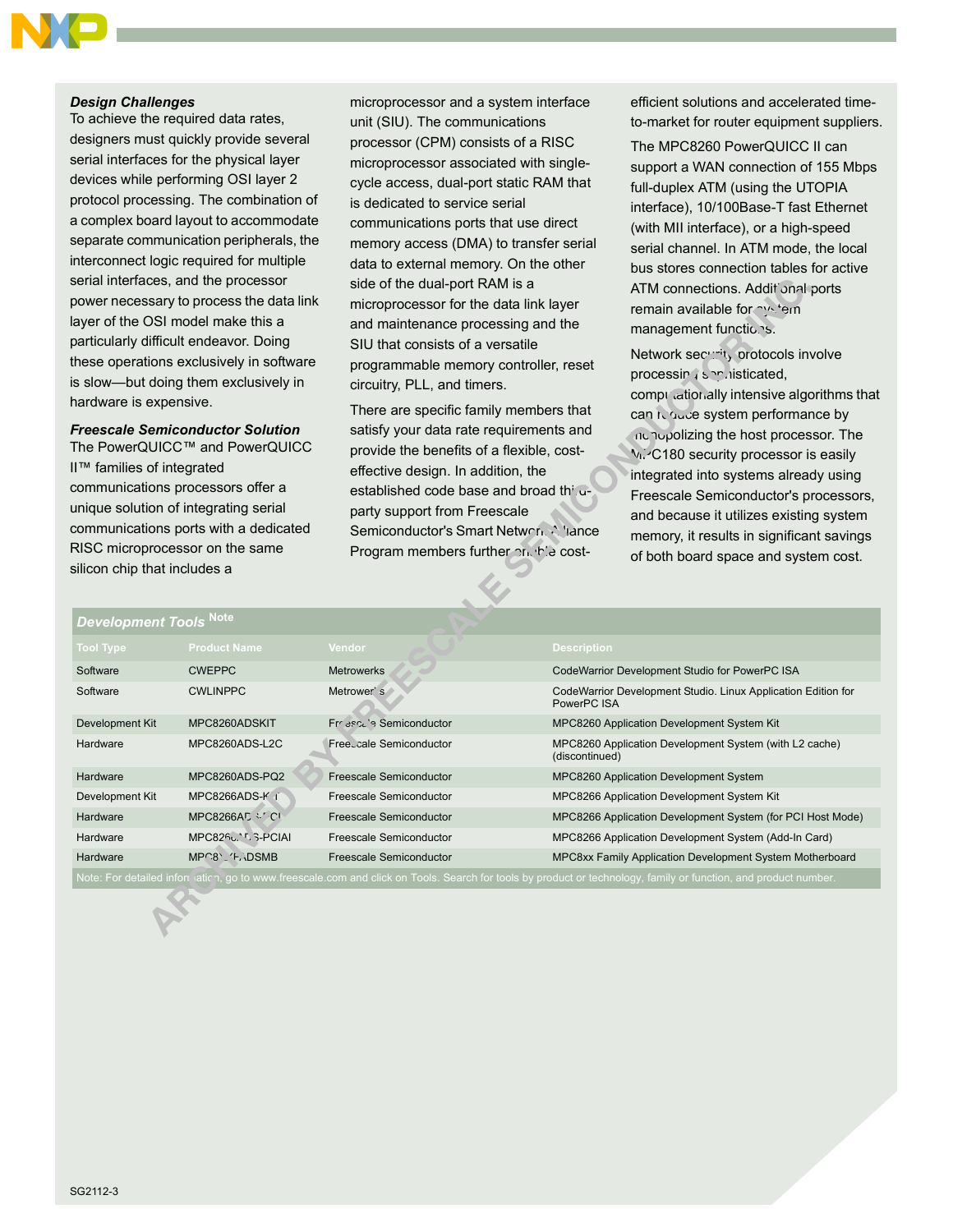### *Design Challenges*

To achieve the required data rates, designers must quickly provide several serial interfaces for the physical layer devices while performing OSI layer 2 protocol processing. The combination of a complex board layout to accommodate separate communication peripherals, the interconnect logic required for multiple serial interfaces, and the processor power necessary to process the data link layer of the OSI model make this a particularly difficult endeavor. Doing these operations exclusively in software is slow-but doing them exclusively in hardware is expensive.

## *Freescale Semiconductor Solution*

The PowerQUICC™ and PowerQUICC II™ families of integrated communications processors offer a unique solution of integrating serial communications ports with a dedicated RISC microprocessor on the same silicon chip that includes a

microprocessor and a system interface unit (SIU). The communications processor (CPM) consists of a RISC microprocessor associated with singlecycle access, dual-port static RAM that is dedicated to service serial communications ports that use direct memory access (DMA) to transfer serial data to external memory. On the other side of the dual-port RAM is a microprocessor for the data link layer and maintenance processing and the SIU that consists of a versatile programmable memory controller, reset circuitry, PLL, and timers.

There are specific family members that satisfy your data rate requirements and provide the benefits of a flexible, costeffective design. In addition, the established code base and broad thirdparty support from Freescale Semiconductor's Smart Network Alliance Program members further enable costefficient solutions and accelerated timeto-market for router equipment suppliers.

The MPC8260 PowerQUICC II can support a WAN connection of 155 Mbps full-duplex ATM (using the UTOPIA interface), 10/100Base-T fast Ethernet (with MII interface), or a high-speed serial channel. In ATM mode, the local bus stores connection tables for active ATM connections. Additional ports remain available for system management functions.

Network security protocols involve processing son histicated, computationally intensive algorithms that can reduce system performance by monopolizing the host processor. The MPC180 security processor is easily integrated into systems already using Freescale Semiconductor's processors, and because it utilizes existing system memory, it results in significant savings of both board space and system cost.

| <b>Development Tools Note</b>                                                                                                                                  |                        |                         |                                                                              |  |
|----------------------------------------------------------------------------------------------------------------------------------------------------------------|------------------------|-------------------------|------------------------------------------------------------------------------|--|
| <b>Tool Type</b>                                                                                                                                               | <b>Product Name</b>    | Vendor.                 | Description                                                                  |  |
| Software                                                                                                                                                       | <b>CWEPPC</b>          | <b>Metrowerks</b>       | CodeWarrior Development Studio for PowerPC ISA                               |  |
| Software                                                                                                                                                       | <b>CWLINPPC</b>        | Metrower's              | CodeWarrior Development Studio. Linux Application Edition for<br>PowerPC ISA |  |
| Development Kit                                                                                                                                                | MPC8260ADSKIT          | France's Semiconductor  | MPC8260 Application Development System Kit                                   |  |
| Hardware                                                                                                                                                       | MPC8260ADS-L2C         | Freecale Semiconductor  | MPC8260 Application Development System (with L2 cache)<br>(discontinued)     |  |
| Hardware                                                                                                                                                       | MPC8260ADS-PO2         | Freescale Semiconductor | MPC8260 Application Development System                                       |  |
| Development Kit                                                                                                                                                | MPC8266ADS-K f         | Freescale Semiconductor | MPC8266 Application Development System Kit                                   |  |
| Hardware                                                                                                                                                       | MPC8266AC $\cdot$ / CL | Freescale Semiconductor | MPC8266 Application Development System (for PCI Host Mode)                   |  |
| Hardware                                                                                                                                                       | MPC825u. 1, S-PCIAI    | Freescale Semiconductor | MPC8266 Application Development System (Add-In Card)                         |  |
| Hardware                                                                                                                                                       | $MP^8$ , $F$ DSMB      | Freescale Semiconductor | MPC8xx Family Application Development System Motherboard                     |  |
| Note: For detailed information, go to www.freescale.com and click on Tools. Search for tools by product or technology, family or function, and product number. |                        |                         |                                                                              |  |